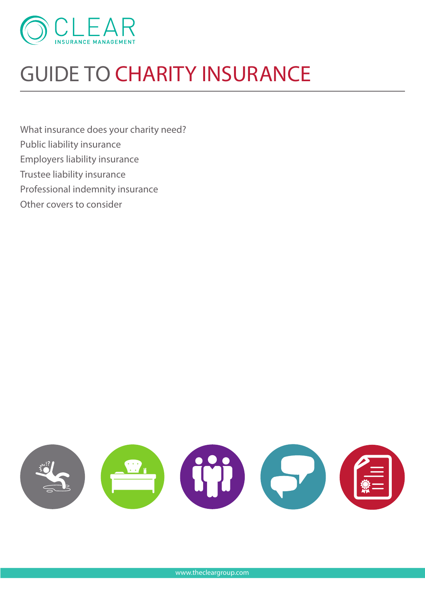

# **GUIDE TO CHARITY INSURANCE**

What insurance does your charity need? Public liability insurance Employers liability insurance Trustee liability insurance Professional indemnity insurance Other covers to consider

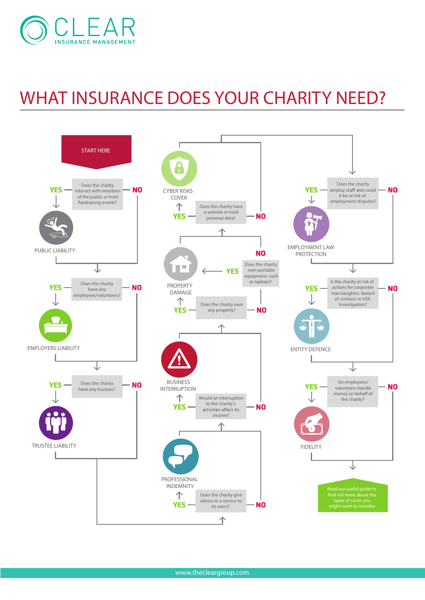

## **WHAT INSURANCE DOES YOUR CHARITY NEED?**



www.thecleargroup.com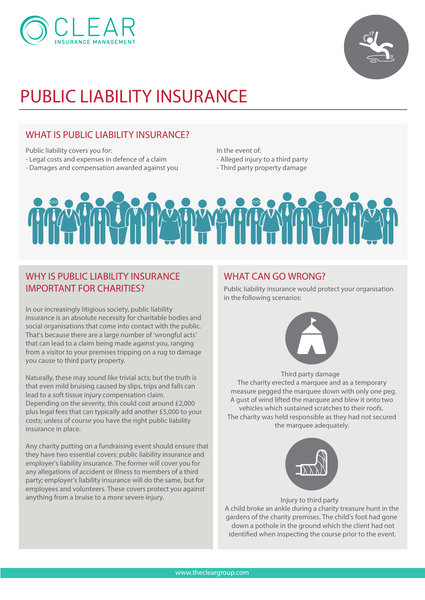



## **PUBLIC LIABILITY INSURANCE**

#### **WHAT IS PUBLIC LIABILITY INSURANCE?**

Public liability covers you for:

- Legal costs and expenses in defence of a claim
- Damages and compensation awarded against you

In the event of: - Alleged injury to a third party

- Third party property damage



#### **WHY IS PUBLIC LIABILITY INSURANCE IMPORTANT FOR CHARITIES?**

In our increasingly litigious society, public liability insurance is an absolute necessity for charitable bodies and social organisations that come into contact with the public. That's because there are a large number of 'wrongful acts' that can lead to a claim being made against you, ranging from a visitor to your premises tripping on a rug to damage you cause to third party property.

Naturally, these may sound like trivial acts; but the truth is that even mild bruising caused by slips, trips and falls can lead to a soft tissue injury compensation claim. Depending on the severity, this could cost around £2,000 plus legal fees that can typically add another £5,000 to your costs; unless of course you have the right public liability insurance in place.

Any charity putting on a fundraising event should ensure that they have two essential covers: public liability insurance and employer's liability insurance. The former will cover you for any allegations of accident or illness to members of a third party; employer's liability insurance will do the same, but for employees and volunteers. These covers protect you against anything from a bruise to a more severe injury.

#### **WHAT CAN GO WRONG?**

Public liability insurance would protect your organisation in the following scenarios:



**Third party damage**

The charity erected a marquee and as a temporary measure pegged the marquee down with only one peg. A gust of wind lifted the marquee and blew it onto two vehicles which sustained scratches to their roofs. The charity was held responsible as they had not secured the marquee adequately.



**Injury to third party**

A child broke an ankle during a charity treasure hunt in the gardens of the charity premises. The child's foot had gone down a pothole in the ground which the client had not identified when inspecting the course prior to the event.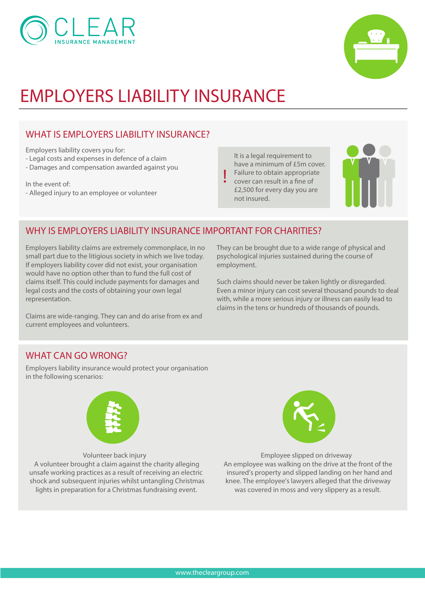



## **EMPLOYERS LIABILITY INSURANCE**

### **WHAT IS EMPLOYERS LIABILITY INSURANCE?**

Employers liability covers you for:

- Legal costs and expenses in defence of a claim
- Damages and compensation awarded against you

In the event of:

- Alleged injury to an employee or volunteer

It is a legal requirement to have a minimum of £5m cover. Failure to obtain appropriate cover can result in a fine of £2,500 for every day you are not insured.

**!**



#### **WHY IS EMPLOYERS LIABILITY INSURANCE IMPORTANT FOR CHARITIES?**

Employers liability claims are extremely commonplace, in no small part due to the litigious society in which we live today. If employers liability cover did not exist, your organisation would have no option other than to fund the full cost of claims itself. This could include payments for damages and legal costs and the costs of obtaining your own legal representation.

Claims are wide-ranging. They can and do arise from ex and current employees and volunteers.

They can be brought due to a wide range of physical and psychological injuries sustained during the course of employment.

Such claims should never be taken lightly or disregarded. Even a minor injury can cost several thousand pounds to deal with, while a more serious injury or illness can easily lead to claims in the tens or hundreds of thousands of pounds.

#### **WHAT CAN GO WRONG?**

Employers liability insurance would protect your organisation in the following scenarios:



**Volunteer back injury**

A volunteer brought a claim against the charity alleging unsafe working practices as a result of receiving an electric shock and subsequent injuries whilst untangling Christmas lights in preparation for a Christmas fundraising event.



**Employee slipped on driveway** An employee was walking on the drive at the front of the insured's property and slipped landing on her hand and knee. The employee's lawyers alleged that the driveway was covered in moss and very slippery as a result.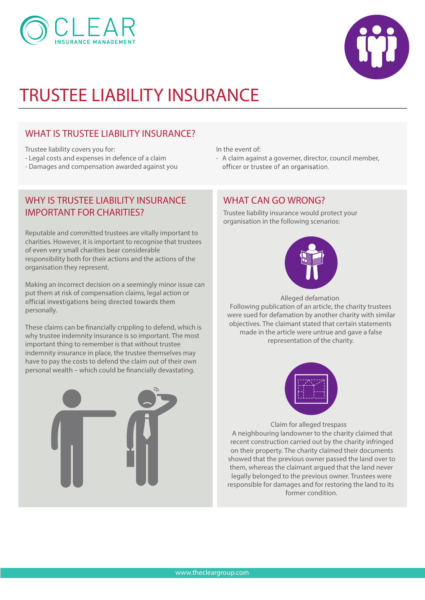



### **TRUSTEE LIABILITY INSURANCE**

#### **WHAT IS TRUSTEE LIABILITY INSURANCE?**

Trustee liability covers you for:

- Legal costs and expenses in defence of a claim
- Damages and compensation awarded against you

#### **WHY IS TRUSTEE LIABILITY INSURANCE IMPORTANT FOR CHARITIES?**

Reputable and committed trustees are vitally important to charities. However, it is important to recognise that trustees of even very small charities bear considerable responsibility both for their actions and the actions of the organisation they represent.

Making an incorrect decision on a seemingly minor issue can put them at risk of compensation claims, legal action or official investigations being directed towards them personally.

These claims can be financially crippling to defend, which is why trustee indemnity insurance is so important. The most important thing to remember is that without trustee indemnity insurance in place, the trustee themselves may have to pay the costs to defend the claim out of their own personal wealth – which could be financially devastating.



In the event of:

- A claim against a governer, director, council member, officer or trustee of an organisation.

#### **WHAT CAN GO WRONG?**

Trustee liability insurance would protect your organisation in the following scenarios:



**Alleged defamation** Following publication of an article, the charity trustees were sued for defamation by another charity with similar objectives. The claimant stated that certain statements made in the article were untrue and gave a false representation of the charity.



**Claim for alleged trespass**  A neighbouring landowner to the charity claimed that recent construction carried out by the charity infringed on their property. The charity claimed their documents showed that the previous owner passed the land over to them, whereas the claimant argued that the land never legally belonged to the previous owner. Trustees were responsible for damages and for restoring the land to its former condition.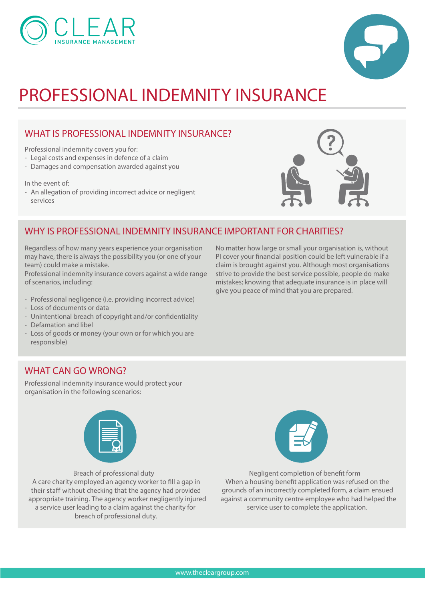



### **PROFESSIONAL INDEMNITY INSURANCE**

#### **WHAT IS PROFESSIONAL INDEMNITY INSURANCE?**

Professional indemnity covers you for:

- Legal costs and expenses in defence of a claim
- Damages and compensation awarded against you

In the event of:

- An allegation of providing incorrect advice or negligent services



#### **WHY IS PROFESSIONAL INDEMNITY INSURANCE IMPORTANT FOR CHARITIES?**

Regardless of how many years experience your organisation may have, there is always the possibility you (or one of your team) could make a mistake.

Professional indemnity insurance covers against a wide range of scenarios, including:

- Professional negligence (i.e. providing incorrect advice)
- Loss of documents or data
- Unintentional breach of copyright and/or confidentiality
- Defamation and libel
- Loss of goods or money (your own or for which you are responsible)

No matter how large or small your organisation is, without PI cover your financial position could be left vulnerable if a claim is brought against you. Although most organisations strive to provide the best service possible, people do make mistakes; knowing that adequate insurance is in place will give you peace of mind that you are prepared.

#### **WHAT CAN GO WRONG?**

Professional indemnity insurance would protect your organisation in the following scenarios:



**Breach of professional duty** A care charity employed an agency worker to fill a gap in their staff without checking that the agency had provided appropriate training. The agency worker negligently injured a service user leading to a claim against the charity for breach of professional duty.



**Negligent completion of benefit form** When a housing benefit application was refused on the grounds of an incorrectly completed form, a claim ensued against a community centre employee who had helped the service user to complete the application.

www.thecleargroup.com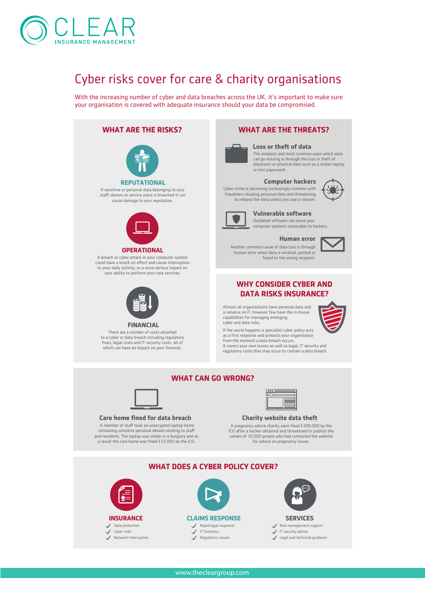

## **Cyber risks cover for care & charity organisations**

With the increasing number of cyber and data breaches across the UK, it's important to make sure your organisation is covered with adequate insurance should your data be compromised.

#### **WHAT ARE THE RISKS?** Employers liability insurance If sensitive or personal data belonging to your Other covers to consider **OPERATIONAL REPUTATIONAL FINANCIAL** A breach or cyber attack in your computer system could have a knock on effect and cause interruption to your daily activity, or a more serious impact on your ability to perform your core services. staff donors or service users is breached it can cause damage to your reputation. There are a number of costs attached to a cyber or data breach including regulatory fines, legal costs and IT security costs, all of which can have an impact on your finances. **Loss or theft of data** The simplest and most common ways which data can go missing is through the loss or theft of electronic or physical data such as a stolen laptop or lost paperwork. Cyber crime is becoming increasingly common with fraudsters stealing personal data and threatening to release the data unless you pay a ransom. cyber and data risks. **WHAT DOES A CYBER POLICY COVER? WHAT CAN GO WRONG? Care home fined for data breach** A member of staff took an unecrypted laptop home containing sensitive personal details relating to sta and residents. The laptop was stolen in a burglary and as a result the care home was fined £15,000 by the ICO.



Network interruption



IT forensics Regulatory issues

#### **Vulnerable software** Outdated software can leave your

computer systems vulnerable to hackers.

**Computer hackers**

### **Human error**

Another common cause of data loss is through human error when data is emailed, posted or faxed to the wrong recipient.



#### **WHY CONSIDER CYBER AND DATA RISKS INSURANCE?**

Almost all organisations have personal data and a reliance on IT, however few have the in-house capabilities for managing emerging



If the worst happens a specialist cyber policy acts as a first response and protects your organisation from the moment a data breach occurs. It covers your own losses as well as legal; IT security and regulatory costs that may occur to contain a data breach.

#### **Charity website data theft**

A pregnancy advice charity were fined £200,000 by the ICO after a hacker obtained and threatened to publish the names of 10,000 people who had contacted the website for advice on pregnancy issues.



Legal and technical guidance

### **WHAT ARE THE THREATS?**